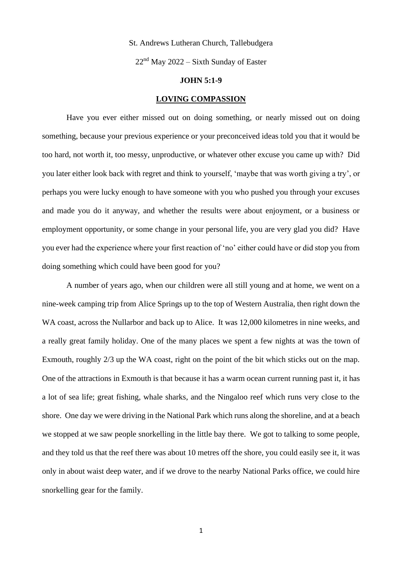## St. Andrews Lutheran Church, Tallebudgera

 $22<sup>nd</sup>$  May 2022 – Sixth Sunday of Easter

## **JOHN 5:1-9**

## **LOVING COMPASSION**

Have you ever either missed out on doing something, or nearly missed out on doing something, because your previous experience or your preconceived ideas told you that it would be too hard, not worth it, too messy, unproductive, or whatever other excuse you came up with? Did you later either look back with regret and think to yourself, 'maybe that was worth giving a try', or perhaps you were lucky enough to have someone with you who pushed you through your excuses and made you do it anyway, and whether the results were about enjoyment, or a business or employment opportunity, or some change in your personal life, you are very glad you did? Have you ever had the experience where your first reaction of 'no' either could have or did stop you from doing something which could have been good for you?

A number of years ago, when our children were all still young and at home, we went on a nine-week camping trip from Alice Springs up to the top of Western Australia, then right down the WA coast, across the Nullarbor and back up to Alice. It was 12,000 kilometres in nine weeks, and a really great family holiday. One of the many places we spent a few nights at was the town of Exmouth, roughly 2/3 up the WA coast, right on the point of the bit which sticks out on the map. One of the attractions in Exmouth is that because it has a warm ocean current running past it, it has a lot of sea life; great fishing, whale sharks, and the Ningaloo reef which runs very close to the shore. One day we were driving in the National Park which runs along the shoreline, and at a beach we stopped at we saw people snorkelling in the little bay there. We got to talking to some people, and they told us that the reef there was about 10 metres off the shore, you could easily see it, it was only in about waist deep water, and if we drove to the nearby National Parks office, we could hire snorkelling gear for the family.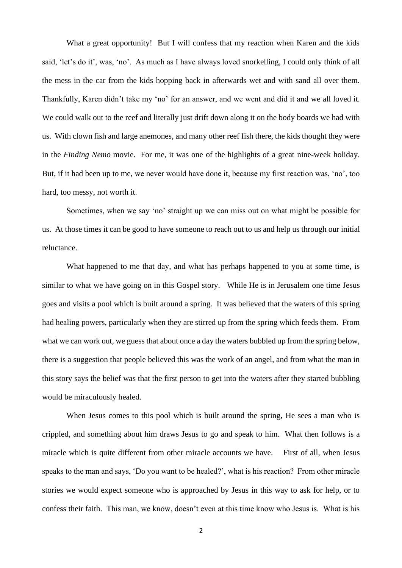What a great opportunity! But I will confess that my reaction when Karen and the kids said, 'let's do it', was, 'no'. As much as I have always loved snorkelling, I could only think of all the mess in the car from the kids hopping back in afterwards wet and with sand all over them. Thankfully, Karen didn't take my 'no' for an answer, and we went and did it and we all loved it. We could walk out to the reef and literally just drift down along it on the body boards we had with us. With clown fish and large anemones, and many other reef fish there, the kids thought they were in the *Finding Nemo* movie. For me, it was one of the highlights of a great nine-week holiday. But, if it had been up to me, we never would have done it, because my first reaction was, 'no', too hard, too messy, not worth it.

Sometimes, when we say 'no' straight up we can miss out on what might be possible for us. At those times it can be good to have someone to reach out to us and help us through our initial reluctance.

What happened to me that day, and what has perhaps happened to you at some time, is similar to what we have going on in this Gospel story. While He is in Jerusalem one time Jesus goes and visits a pool which is built around a spring. It was believed that the waters of this spring had healing powers, particularly when they are stirred up from the spring which feeds them. From what we can work out, we guess that about once a day the waters bubbled up from the spring below, there is a suggestion that people believed this was the work of an angel, and from what the man in this story says the belief was that the first person to get into the waters after they started bubbling would be miraculously healed.

When Jesus comes to this pool which is built around the spring, He sees a man who is crippled, and something about him draws Jesus to go and speak to him. What then follows is a miracle which is quite different from other miracle accounts we have. First of all, when Jesus speaks to the man and says, 'Do you want to be healed?', what is his reaction? From other miracle stories we would expect someone who is approached by Jesus in this way to ask for help, or to confess their faith. This man, we know, doesn't even at this time know who Jesus is. What is his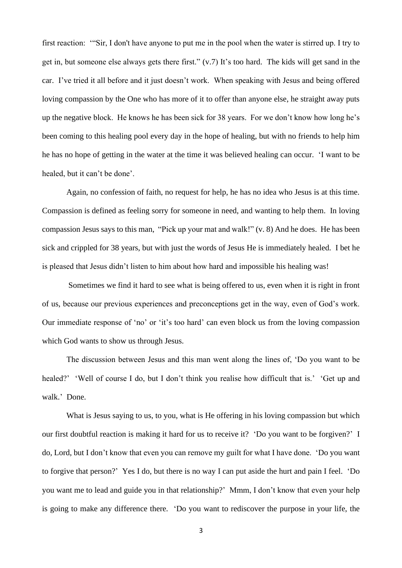first reaction: '"Sir, I don't have anyone to put me in the pool when the water is stirred up. I try to get in, but someone else always gets there first." (v.7) It's too hard. The kids will get sand in the car. I've tried it all before and it just doesn't work. When speaking with Jesus and being offered loving compassion by the One who has more of it to offer than anyone else, he straight away puts up the negative block. He knows he has been sick for 38 years. For we don't know how long he's been coming to this healing pool every day in the hope of healing, but with no friends to help him he has no hope of getting in the water at the time it was believed healing can occur. 'I want to be healed, but it can't be done'.

Again, no confession of faith, no request for help, he has no idea who Jesus is at this time. Compassion is defined as feeling sorry for someone in need, and wanting to help them. In loving compassion Jesus says to this man, "Pick up your mat and walk!" (v. 8) And he does. He has been sick and crippled for 38 years, but with just the words of Jesus He is immediately healed. I bet he is pleased that Jesus didn't listen to him about how hard and impossible his healing was!

Sometimes we find it hard to see what is being offered to us, even when it is right in front of us, because our previous experiences and preconceptions get in the way, even of God's work. Our immediate response of 'no' or 'it's too hard' can even block us from the loving compassion which God wants to show us through Jesus.

The discussion between Jesus and this man went along the lines of, 'Do you want to be healed?' 'Well of course I do, but I don't think you realise how difficult that is.' 'Get up and walk.' Done.

What is Jesus saying to us, to you, what is He offering in his loving compassion but which our first doubtful reaction is making it hard for us to receive it? 'Do you want to be forgiven?' I do, Lord, but I don't know that even you can remove my guilt for what I have done. 'Do you want to forgive that person?' Yes I do, but there is no way I can put aside the hurt and pain I feel. 'Do you want me to lead and guide you in that relationship?' Mmm, I don't know that even your help is going to make any difference there. 'Do you want to rediscover the purpose in your life, the